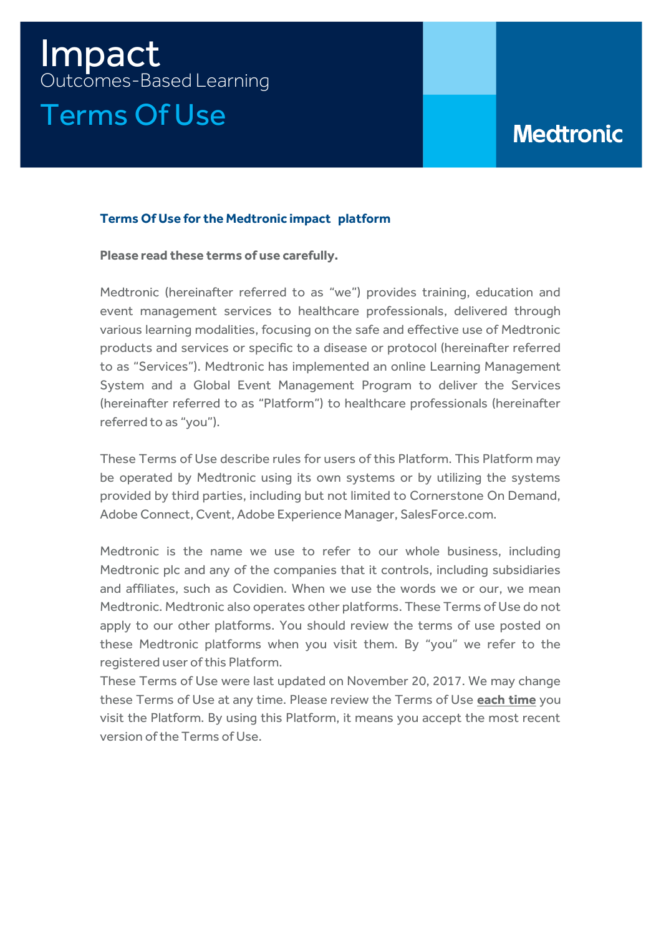# Impact Outcomes-Based Learning Terms Of Use

## **Medtronic**

## **Terms Of Use for the Medtronic impact platform**

**Please read these terms of use carefully.**

Medtronic (hereinafter referred to as "we") provides training, education and event management services to healthcare professionals, delivered through various learning modalities, focusing on the safe and effective use of Medtronic products and services or specific to a disease or protocol (hereinafter referred to as "Services"). Medtronic has implemented an online Learning Management System and a Global Event Management Program to deliver the Services (hereinafter referred to as "Platform") to healthcare professionals (hereinafter referred to as "you").

These Terms of Use describe rules for users of this Platform. This Platform may be operated by Medtronic using its own systems or by utilizing the systems provided by third parties, including but not limited to Cornerstone On Demand, Adobe Connect, Cvent, Adobe Experience Manager, SalesForce.com.

Medtronic is the name we use to refer to our whole business, including Medtronic plc and any of the companies that it controls, including subsidiaries and affiliates, such as Covidien. When we use the words we or our, we mean Medtronic. Medtronic also operates other platforms. These Terms of Use do not apply to our other platforms. You should review the terms of use posted on these Medtronic platforms when you visit them. By "you" we refer to the registered user of this Platform.

These Terms of Use were last updated on November 20, 2017. We may change these Terms of Use at any time. Please review the Terms of Use **each time** you visit the Platform. By using this Platform, it means you accept the most recent version of the Terms of Use.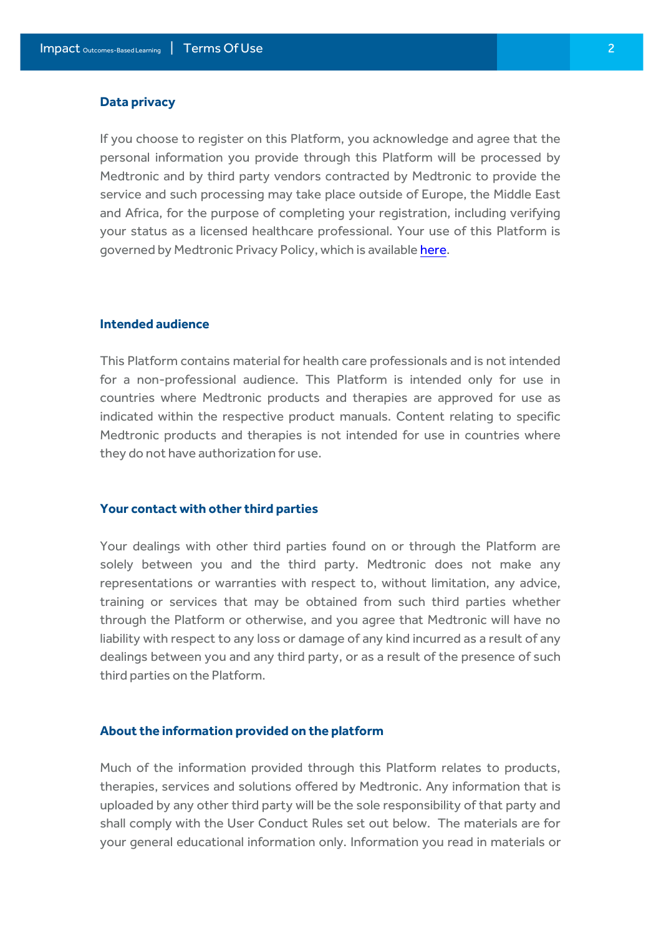#### **Data privacy**

If you choose to register on this Platform, you acknowledge and agree that the personal information you provide through this Platform will be processed by Medtronic and by third party vendors contracted by Medtronic to provide the service and such processing may take place outside of Europe, the Middle East and Africa, for the purpose of completing your registration, including verifying your status as a licensed healthcare professional. Your use of this Platform is governed by Medtronic Privacy Policy, which is availabl[e here.](https://www.medtronic.com/content/dam/medtronic-com/uk-en/corporate/documents/Medtronic%20Learning%20Management%20System%20-%20Privacy%20Statement.pdf)

#### **Intended audience**

This Platform contains material for health care professionals and is not intended for a non-professional audience. This Platform is intended only for use in countries where Medtronic products and therapies are approved for use as indicated within the respective product manuals. Content relating to specific Medtronic products and therapies is not intended for use in countries where they do not have authorization for use.

## **Your contact with other third parties**

Your dealings with other third parties found on or through the Platform are solely between you and the third party. Medtronic does not make any representations or warranties with respect to, without limitation, any advice, training or services that may be obtained from such third parties whether through the Platform or otherwise, and you agree that Medtronic will have no liability with respect to any loss or damage of any kind incurred as a result of any dealings between you and any third party, or as a result of the presence of such third parties on the Platform.

#### **About the information provided on the platform**

Much of the information provided through this Platform relates to products, therapies, services and solutions offered by Medtronic. Any information that is uploaded by any other third party will be the sole responsibility of that party and shall comply with the User Conduct Rules set out below. The materials are for your general educational information only. Information you read in materials or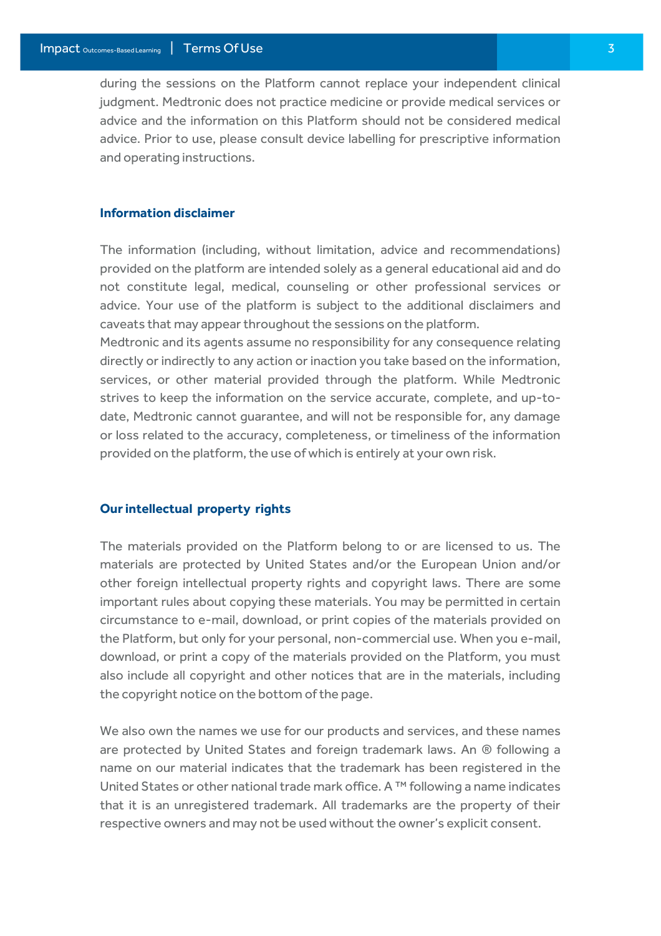during the sessions on the Platform cannot replace your independent clinical judgment. Medtronic does not practice medicine or provide medical services or advice and the information on this Platform should not be considered medical advice. Prior to use, please consult device labelling for prescriptive information and operating instructions.

## **Information disclaimer**

The information (including, without limitation, advice and recommendations) provided on the platform are intended solely as a general educational aid and do not constitute legal, medical, counseling or other professional services or advice. Your use of the platform is subject to the additional disclaimers and caveats that may appear throughout the sessions on the platform.

Medtronic and its agents assume no responsibility for any consequence relating directly or indirectly to any action or inaction you take based on the information, services, or other material provided through the platform. While Medtronic strives to keep the information on the service accurate, complete, and up-todate, Medtronic cannot guarantee, and will not be responsible for, any damage or loss related to the accuracy, completeness, or timeliness of the information provided on the platform, the use of which is entirely at your own risk.

#### **Our intellectual property rights**

The materials provided on the Platform belong to or are licensed to us. The materials are protected by United States and/or the European Union and/or other foreign intellectual property rights and copyright laws. There are some important rules about copying these materials. You may be permitted in certain circumstance to e-mail, download, or print copies of the materials provided on the Platform, but only for your personal, non-commercial use. When you e-mail, download, or print a copy of the materials provided on the Platform, you must also include all copyright and other notices that are in the materials, including the copyright notice on the bottom of the page.

We also own the names we use for our products and services, and these names are protected by United States and foreign trademark laws. An ® following a name on our material indicates that the trademark has been registered in the United States or other national trade mark office. A ™ following a name indicates that it is an unregistered trademark. All trademarks are the property of their respective owners and may not be used without the owner's explicit consent.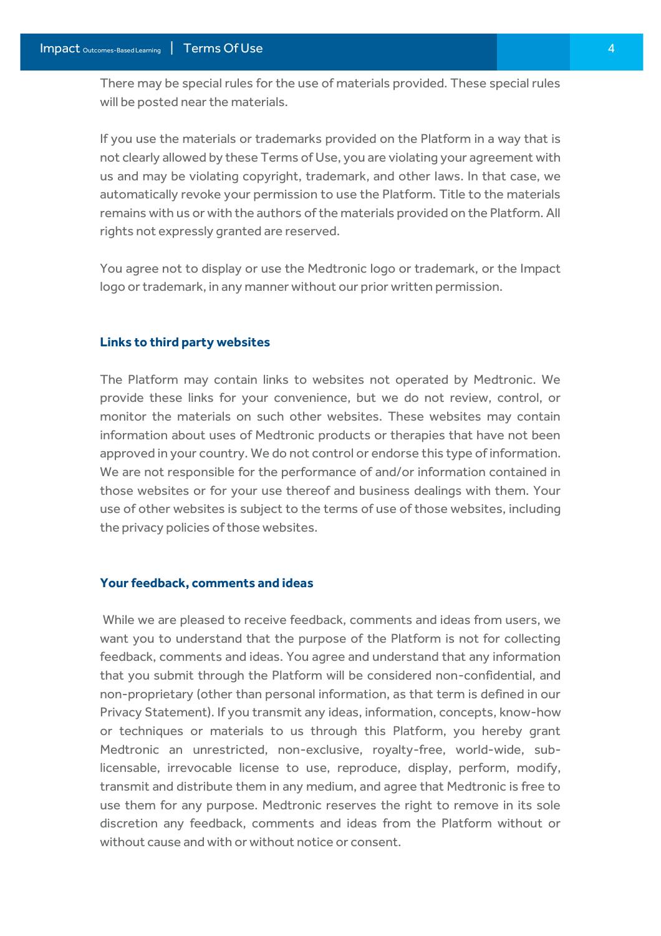There may be special rules for the use of materials provided. These special rules will be posted near the materials.

If you use the materials or trademarks provided on the Platform in a way that is not clearly allowed by these Terms of Use, you are violating your agreement with us and may be violating copyright, trademark, and other laws. In that case, we automatically revoke your permission to use the Platform. Title to the materials remains with us or with the authors of the materials provided on the Platform. All rights not expressly granted are reserved.

You agree not to display or use the Medtronic logo or trademark, or the Impact logo or trademark, in any manner without our prior written permission.

#### **Links to third party websites**

The Platform may contain links to websites not operated by Medtronic. We provide these links for your convenience, but we do not review, control, or monitor the materials on such other websites. These websites may contain information about uses of Medtronic products or therapies that have not been approved in your country. We do not control or endorse this type of information. We are not responsible for the performance of and/or information contained in those websites or for your use thereof and business dealings with them. Your use of other websites is subject to the terms of use of those websites, including the privacy policies of those websites.

#### **Your feedback, comments and ideas**

While we are pleased to receive feedback, comments and ideas from users, we want you to understand that the purpose of the Platform is not for collecting feedback, comments and ideas. You agree and understand that any information that you submit through the Platform will be considered non-confidential, and non-proprietary (other than personal information, as that term is defined in our Privacy Statement). If you transmit any ideas, information, concepts, know-how or techniques or materials to us through this Platform, you hereby grant Medtronic an unrestricted, non-exclusive, royalty-free, world-wide, sublicensable, irrevocable license to use, reproduce, display, perform, modify, transmit and distribute them in any medium, and agree that Medtronic is free to use them for any purpose. Medtronic reserves the right to remove in its sole discretion any feedback, comments and ideas from the Platform without or without cause and with or without notice or consent.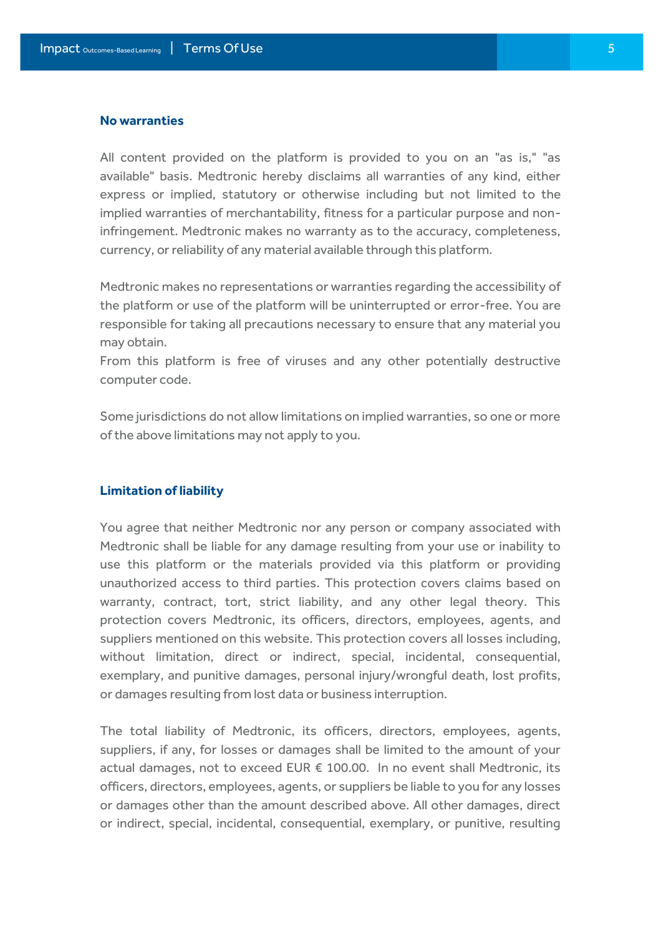#### **No warranties**

All content provided on the platform is provided to you on an "as is," "as available" basis. Medtronic hereby disclaims all warranties of any kind, either express or implied, statutory or otherwise including but not limited to the implied warranties of merchantability, fitness for a particular purpose and noninfringement. Medtronic makes no warranty as to the accuracy, completeness, currency, or reliability of any material available through this platform.

Medtronic makes no representations or warranties regarding the accessibility of the platform or use of the platform will be uninterrupted or error-free. You are responsible for taking all precautions necessary to ensure that any material you may obtain.

From this platform is free of viruses and any other potentially destructive computer code.

Some jurisdictions do not allow limitations on implied warranties, so one or more of the above limitations may not apply to you.

#### **Limitation of liability**

You agree that neither Medtronic nor any person or company associated with Medtronic shall be liable for any damage resulting from your use or inability to use this platform or the materials provided via this platform or providing unauthorized access to third parties. This protection covers claims based on warranty, contract, tort, strict liability, and any other legal theory. This protection covers Medtronic, its officers, directors, employees, agents, and suppliers mentioned on this website. This protection covers all losses including, without limitation, direct or indirect, special, incidental, consequential, exemplary, and punitive damages, personal injury/wrongful death, lost profits, or damages resulting from lost data or business interruption.

The total liability of Medtronic, its officers, directors, employees, agents, suppliers, if any, for losses or damages shall be limited to the amount of your actual damages, not to exceed EUR € 100.00. In no event shall Medtronic, its officers, directors, employees, agents, or suppliers be liable to you for any losses or damages other than the amount described above. All other damages, direct or indirect, special, incidental, consequential, exemplary, or punitive, resulting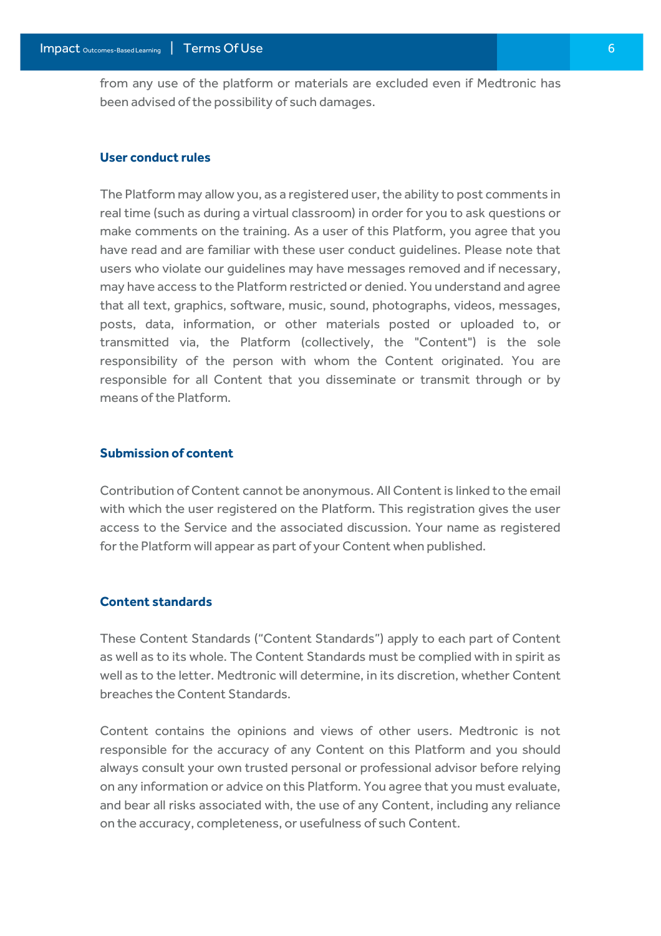from any use of the platform or materials are excluded even if Medtronic has been advised of the possibility of such damages.

#### **User conduct rules**

The Platform may allow you, as a registered user, the ability to post comments in real time (such as during a virtual classroom) in order for you to ask questions or make comments on the training. As a user of this Platform, you agree that you have read and are familiar with these user conduct guidelines. Please note that users who violate our guidelines may have messages removed and if necessary, may have access to the Platform restricted or denied. You understand and agree that all text, graphics, software, music, sound, photographs, videos, messages, posts, data, information, or other materials posted or uploaded to, or transmitted via, the Platform (collectively, the "Content") is the sole responsibility of the person with whom the Content originated. You are responsible for all Content that you disseminate or transmit through or by means of the Platform.

#### **Submission of content**

Contribution of Content cannot be anonymous. All Content is linked to the email with which the user registered on the Platform. This registration gives the user access to the Service and the associated discussion. Your name as registered for the Platform will appear as part of your Content when published.

#### **Content standards**

These Content Standards ("Content Standards") apply to each part of Content as well as to its whole. The Content Standards must be complied with in spirit as well as to the letter. Medtronic will determine, in its discretion, whether Content breaches the Content Standards.

Content contains the opinions and views of other users. Medtronic is not responsible for the accuracy of any Content on this Platform and you should always consult your own trusted personal or professional advisor before relying on any information or advice on this Platform. You agree that you must evaluate, and bear all risks associated with, the use of any Content, including any reliance on the accuracy, completeness, or usefulness of such Content.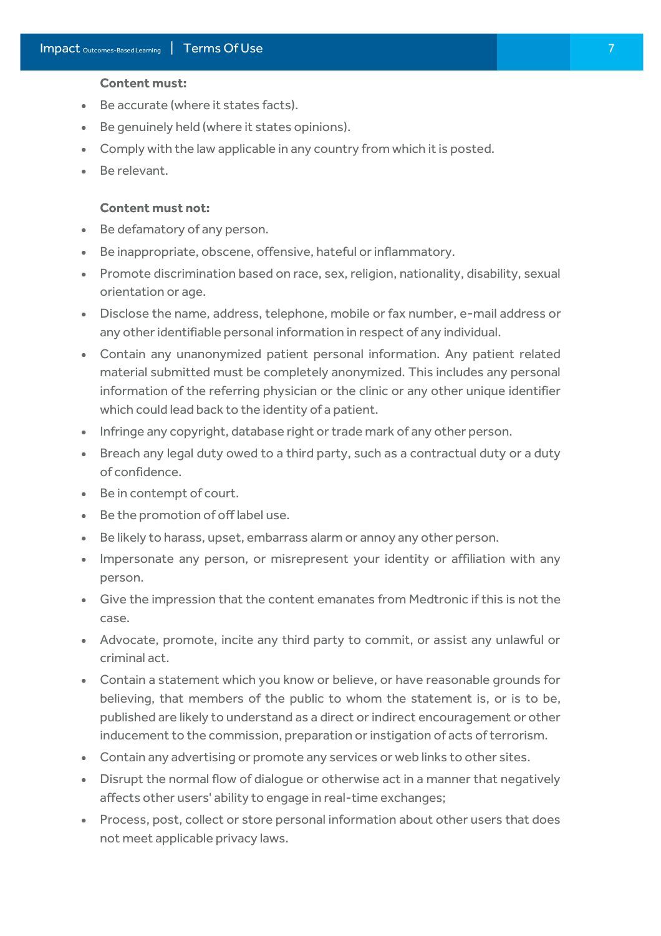#### **Content must:**

- Be accurate (where it states facts).
- Be genuinely held (where it states opinions).
- Comply with the law applicable in any country from which it is posted.
- Be relevant.

#### **Content must not:**

- Be defamatory of any person.
- Be inappropriate, obscene, offensive, hateful or inflammatory.
- Promote discrimination based on race, sex, religion, nationality, disability, sexual orientation or age.
- Disclose the name, address, telephone, mobile or fax number, e-mail address or any other identifiable personal information in respect of any individual.
- Contain any unanonymized patient personal information. Any patient related material submitted must be completely anonymized. This includes any personal information of the referring physician or the clinic or any other unique identifier which could lead back to the identity of a patient.
- Infringe any copyright, database right or trade mark of any other person.
- Breach any legal duty owed to a third party, such as a contractual duty or a duty of confidence.
- Be in contempt of court.
- Be the promotion of off label use.
- Be likely to harass, upset, embarrass alarm or annoy any other person.
- Impersonate any person, or misrepresent your identity or affiliation with any person.
- Give the impression that the content emanates from Medtronic if this is not the case.
- Advocate, promote, incite any third party to commit, or assist any unlawful or criminal act.
- Contain a statement which you know or believe, or have reasonable grounds for believing, that members of the public to whom the statement is, or is to be, published are likely to understand as a direct or indirect encouragement or other inducement to the commission, preparation or instigation of acts of terrorism.
- Contain any advertising or promote any services or web links to other sites.
- Disrupt the normal flow of dialogue or otherwise act in a manner that negatively affects other users' ability to engage in real-time exchanges;
- Process, post, collect or store personal information about other users that does not meet applicable privacy laws.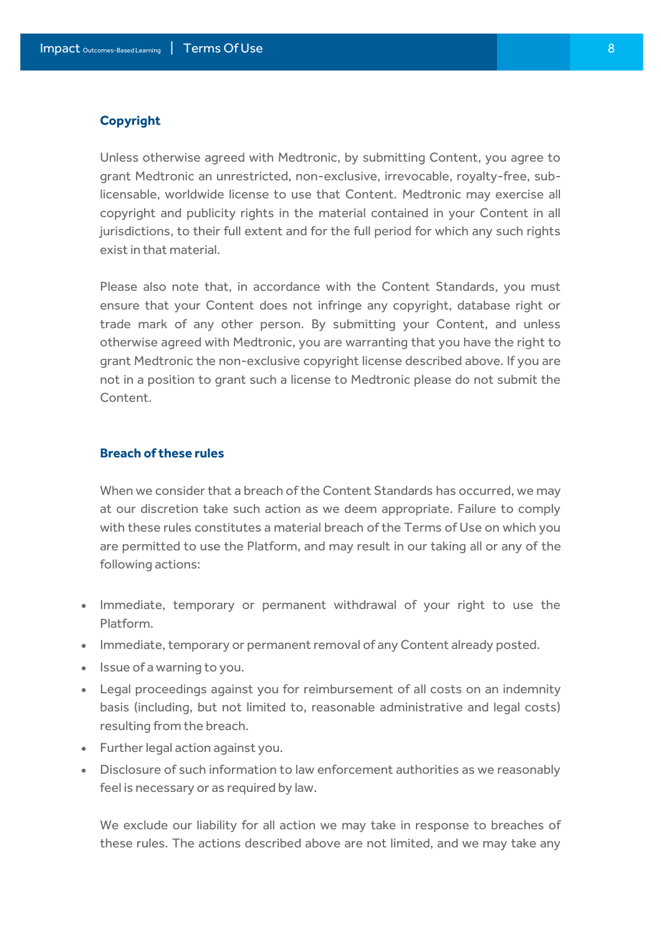#### **Copyright**

Unless otherwise agreed with Medtronic, by submitting Content, you agree to grant Medtronic an unrestricted, non-exclusive, irrevocable, royalty-free, sublicensable, worldwide license to use that Content. Medtronic may exercise all copyright and publicity rights in the material contained in your Content in all jurisdictions, to their full extent and for the full period for which any such rights exist in that material.

Please also note that, in accordance with the Content Standards, you must ensure that your Content does not infringe any copyright, database right or trade mark of any other person. By submitting your Content, and unless otherwise agreed with Medtronic, you are warranting that you have the right to grant Medtronic the non-exclusive copyright license described above. If you are not in a position to grant such a license to Medtronic please do not submit the Content.

#### **Breach of these rules**

When we consider that a breach of the Content Standards has occurred, we may at our discretion take such action as we deem appropriate. Failure to comply with these rules constitutes a material breach of the Terms of Use on which you are permitted to use the Platform, and may result in our taking all or any of the following actions:

- Immediate, temporary or permanent withdrawal of your right to use the Platform.
- Immediate, temporary or permanent removal of any Content already posted.
- Issue of a warning to you.
- Legal proceedings against you for reimbursement of all costs on an indemnity basis (including, but not limited to, reasonable administrative and legal costs) resulting from the breach.
- Further legal action against you.
- Disclosure of such information to law enforcement authorities as we reasonably feel is necessary or as required by law.

We exclude our liability for all action we may take in response to breaches of these rules. The actions described above are not limited, and we may take any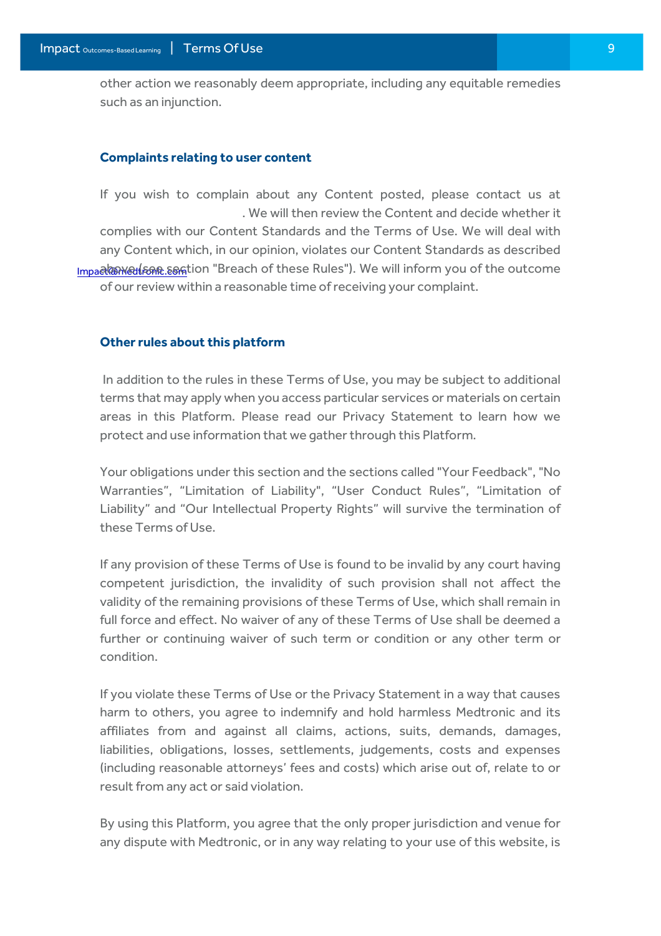other action we reasonably deem appropriate, including any equitable remedies such as an injunction.

#### **Complaints relating to user content**

If you wish to complain about any Content posted, please contact us at Impact@medtronic.com above (see section "Breach of these Rules"). We will inform you of the outcome [.](mailto:Impact@medtronic.com) We will then review the Content and decide whether it complies with our Content Standards and the Terms of Use. We will deal with any Content which, in our opinion, violates our Content Standards as described of our review within a reasonable time of receiving your complaint.

#### **Other rules about this platform**

In addition to the rules in these Terms of Use, you may be subject to additional terms that may apply when you access particular services or materials on certain areas in this Platform. Please read our Privacy Statement to learn how we protect and use information that we gather through this Platform.

Your obligations under this section and the sections called "Your Feedback", "No Warranties", "Limitation of Liability", "User Conduct Rules", "Limitation of Liability" and "Our Intellectual Property Rights" will survive the termination of these Terms of Use.

If any provision of these Terms of Use is found to be invalid by any court having competent jurisdiction, the invalidity of such provision shall not affect the validity of the remaining provisions of these Terms of Use, which shall remain in full force and effect. No waiver of any of these Terms of Use shall be deemed a further or continuing waiver of such term or condition or any other term or condition.

If you violate these Terms of Use or the Privacy Statement in a way that causes harm to others, you agree to indemnify and hold harmless Medtronic and its affiliates from and against all claims, actions, suits, demands, damages, liabilities, obligations, losses, settlements, judgements, costs and expenses (including reasonable attorneys' fees and costs) which arise out of, relate to or result from any act or said violation.

By using this Platform, you agree that the only proper jurisdiction and venue for any dispute with Medtronic, or in any way relating to your use of this website, is